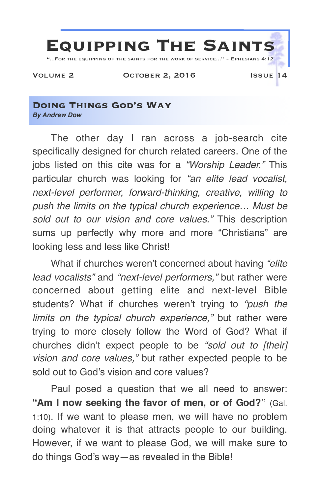

**Doing Things God's Way** *By Andrew Dow*

The other day I ran across a job-search cite specifically designed for church related careers. One of the jobs listed on this cite was for a *"Worship Leader."* This particular church was looking for *"an elite lead vocalist, next-level performer, forward-thinking, creative, willing to push the limits on the typical church experience… Must be sold out to our vision and core values."* This description sums up perfectly why more and more "Christians" are looking less and less like Christ!

What if churches weren't concerned about having *"elite lead vocalists"* and *"next-level performers,"* but rather were concerned about getting elite and next-level Bible students? What if churches weren't trying to *"push the limits on the typical church experience,"* but rather were trying to more closely follow the Word of God? What if churches didn't expect people to be *"sold out to [their] vision and core values,"* but rather expected people to be sold out to God's vision and core values?

Paul posed a question that we all need to answer: "Am I now seeking the favor of men, or of God?" (Gal. 1:10). If we want to please men, we will have no problem doing whatever it is that attracts people to our building. However, if we want to please God, we will make sure to do things God's way—as revealed in the Bible!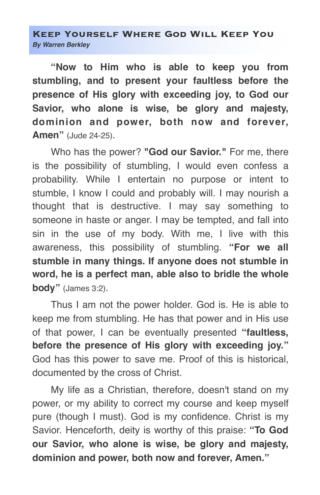## **Keep Yourself Where God Will Keep You** *By Warren Berkley*

**"Now to Him who is able to keep you from stumbling, and to present your faultless before the presence of His glory with exceeding joy, to God our Savior, who alone is wise, be glory and majesty, dominion and power, both now and forever, Amen"** (Jude 24-25).

Who has the power? **"God our Savior."** For me, there is the possibility of stumbling, I would even confess a probability. While I entertain no purpose or intent to stumble, I know I could and probably will. I may nourish a thought that is destructive. I may say something to someone in haste or anger. I may be tempted, and fall into sin in the use of my body. With me, I live with this awareness, this possibility of stumbling. **"For we all stumble in many things. If anyone does not stumble in word, he is a perfect man, able also to bridle the whole body"** (James 3:2).

Thus I am not the power holder. God is. He is able to keep me from stumbling. He has that power and in His use of that power, I can be eventually presented **"faultless, before the presence of His glory with exceeding joy."** God has this power to save me. Proof of this is historical, documented by the cross of Christ.

My life as a Christian, therefore, doesn't stand on my power, or my ability to correct my course and keep myself pure (though I must). God is my confidence. Christ is my Savior. Henceforth, deity is worthy of this praise: **"To God our Savior, who alone is wise, be glory and majesty, dominion and power, both now and forever, Amen."**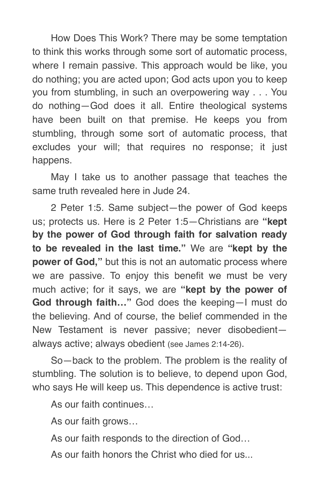How Does This Work? There may be some temptation to think this works through some sort of automatic process, where I remain passive. This approach would be like, you do nothing; you are acted upon; God acts upon you to keep you from stumbling, in such an overpowering way . . . You do nothing—God does it all. Entire theological systems have been built on that premise. He keeps you from stumbling, through some sort of automatic process, that excludes your will; that requires no response; it just happens.

May I take us to another passage that teaches the same truth revealed here in Jude 24.

2 Peter 1:5. Same subject—the power of God keeps us; protects us. Here is 2 Peter 1:5—Christians are **"kept by the power of God through faith for salvation ready to be revealed in the last time."** We are **"kept by the power of God,"** but this is not an automatic process where we are passive. To enjoy this benefit we must be very much active; for it says, we are **"kept by the power of God through faith…"** God does the keeping—I must do the believing. And of course, the belief commended in the New Testament is never passive; never disobedient always active; always obedient (see James 2:14-26).

So—back to the problem. The problem is the reality of stumbling. The solution is to believe, to depend upon God, who says He will keep us. This dependence is active trust:

As our faith continues…

As our faith grows…

As our faith responds to the direction of God…

As our faith honors the Christ who died for us...